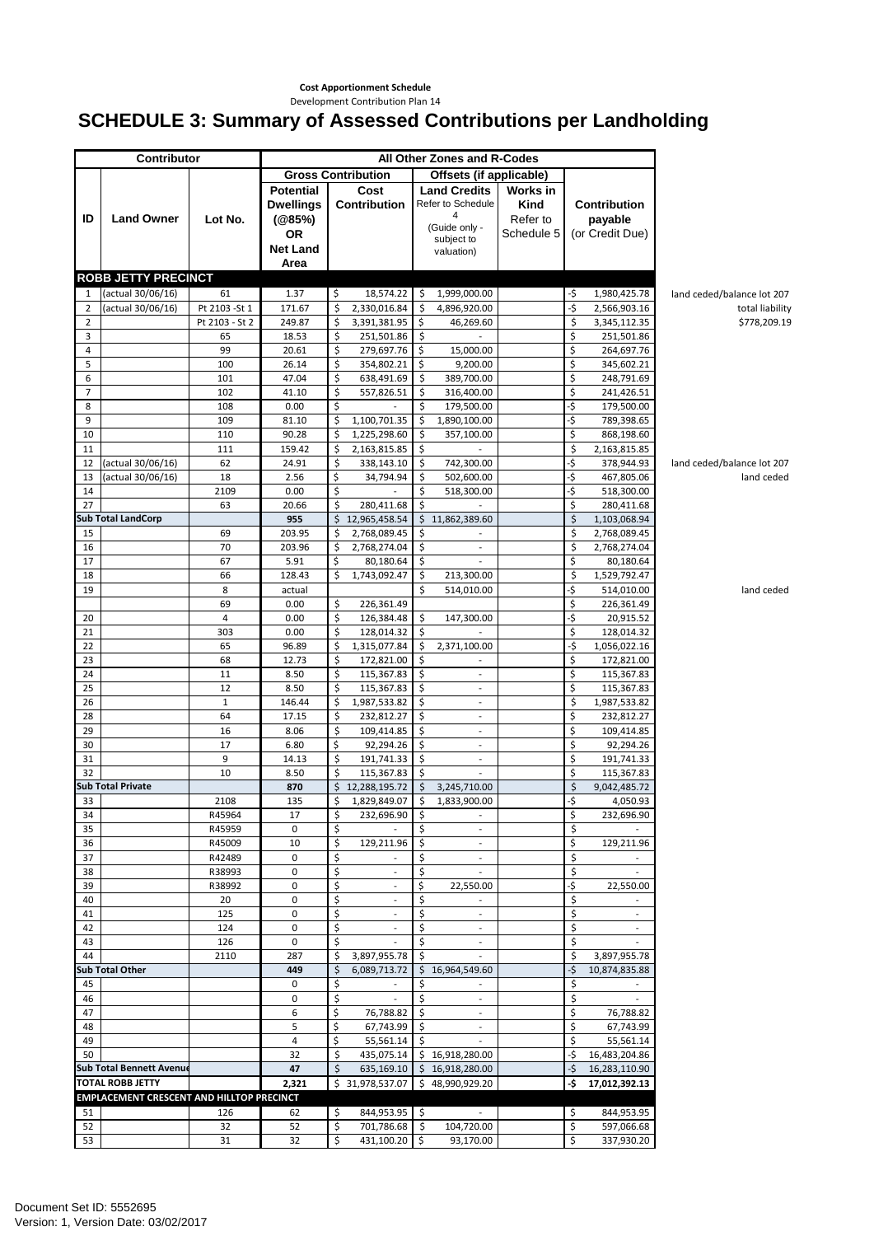## **Cost Apportionment Schedule**

## Development Contribution Plan 14

## **SCHEDULE 3: Summary of Assessed Contributions per Landholding**

|                     | <b>Contributor</b>                               |                      | All Other Zones and R-Codes                                             |          |                                    |                     |                                                                                            |                                            |                          |                                                   |                                 |
|---------------------|--------------------------------------------------|----------------------|-------------------------------------------------------------------------|----------|------------------------------------|---------------------|--------------------------------------------------------------------------------------------|--------------------------------------------|--------------------------|---------------------------------------------------|---------------------------------|
|                     |                                                  |                      | <b>Gross Contribution</b><br>Offsets (if applicable)                    |          |                                    |                     |                                                                                            |                                            |                          |                                                   |                                 |
| ID                  | <b>Land Owner</b>                                | Lot No.              | <b>Potential</b><br><b>Dwellings</b><br>(@85%)<br>OR<br><b>Net Land</b> |          | Cost<br>Contribution               |                     | <b>Land Credits</b><br>Refer to Schedule<br>4<br>(Guide only -<br>subject to<br>valuation) | Works in<br>Kind<br>Refer to<br>Schedule 5 |                          | <b>Contribution</b><br>payable<br>(or Credit Due) |                                 |
|                     |                                                  |                      | Area                                                                    |          |                                    |                     |                                                                                            |                                            |                          |                                                   |                                 |
|                     | <b>ROBB JETTY PRECINCT</b>                       |                      |                                                                         |          |                                    |                     |                                                                                            |                                            |                          |                                                   |                                 |
| 1<br>$\overline{2}$ | (actual 30/06/16)<br>(actual 30/06/16)           | 61<br>Pt 2103 - St 1 | 1.37<br>171.67                                                          | \$<br>\$ | 18,574.22<br>2,330,016.84          | -\$<br>\$           | 1,999,000.00<br>4,896,920.00                                                               |                                            | -\$<br>-\$               | 1,980,425.78<br>2,566,903.16                      | land ceded/balance lot 207      |
| $\overline{2}$      |                                                  | Pt 2103 - St 2       | 249.87                                                                  | \$       | 3,391,381.95                       | $\zeta$             | 46,269.60                                                                                  |                                            | \$                       | 3,345,112.35                                      | total liability<br>\$778,209.19 |
| 3                   |                                                  | 65                   | 18.53                                                                   | \$       | 251,501.86                         | \$                  | $\overline{\phantom{a}}$                                                                   |                                            | \$                       | 251,501.86                                        |                                 |
| 4                   |                                                  | 99                   | 20.61                                                                   | \$       | 279,697.76                         | Ŝ                   | 15,000.00                                                                                  |                                            | \$                       | 264,697.76                                        |                                 |
| 5                   |                                                  | 100                  | 26.14                                                                   | \$       | 354,802.21                         | \$                  | 9,200.00                                                                                   |                                            | \$                       | 345,602.21                                        |                                 |
| 6                   |                                                  | 101                  | 47.04                                                                   | \$       | 638,491.69                         | -\$                 | 389,700.00                                                                                 |                                            | \$                       | 248,791.69                                        |                                 |
| 7                   |                                                  | 102                  | 41.10                                                                   | \$       | 557,826.51                         | \$                  | 316,400.00                                                                                 |                                            | \$                       | 241,426.51                                        |                                 |
| 8                   |                                                  | 108                  | 0.00                                                                    | \$       |                                    | \$                  | 179,500.00                                                                                 |                                            | ٠\$                      | 179,500.00                                        |                                 |
| 9<br>10             |                                                  | 109<br>110           | 81.10<br>90.28                                                          | \$<br>\$ | 1,100,701.35<br>1,225,298.60       | $\zeta$<br>\$       | 1,890,100.00<br>357,100.00                                                                 |                                            | $\ddot{\varsigma}$<br>\$ | 789,398.65<br>868,198.60                          |                                 |
| 11                  |                                                  | 111                  | 159.42                                                                  | \$       | 2,163,815.85                       | Ŝ.                  |                                                                                            |                                            | \$                       | 2,163,815.85                                      |                                 |
| 12                  | (actual 30/06/16)                                | 62                   | 24.91                                                                   | \$       | 338,143.10                         | \$                  | 742,300.00                                                                                 |                                            | ٠\$                      | 378,944.93                                        | land ceded/balance lot 207      |
| 13                  | (actual 30/06/16)                                | 18                   | 2.56                                                                    | \$       | 34,794.94                          | \$                  | 502,600.00                                                                                 |                                            | ٠\$                      | 467,805.06                                        | land ceded                      |
| 14                  |                                                  | 2109                 | 0.00                                                                    | \$       |                                    | \$                  | 518,300.00                                                                                 |                                            | ٠\$                      | 518,300.00                                        |                                 |
| 27                  |                                                  | 63                   | 20.66                                                                   | \$       | 280,411.68                         | \$                  |                                                                                            |                                            | \$                       | 280,411.68                                        |                                 |
|                     | <b>Sub Total LandCorp</b>                        |                      | 955                                                                     | \$       | 12,965,458.54                      | \$                  | 11,862,389.60                                                                              |                                            | \$                       | 1,103,068.94                                      |                                 |
| 15                  |                                                  | 69                   | 203.95                                                                  | \$       | 2,768,089.45                       | $\zeta$             |                                                                                            |                                            | \$                       | 2,768,089.45                                      |                                 |
| 16                  |                                                  | 70                   | 203.96                                                                  | \$<br>Ś  | 2,768,274.04                       | \$                  | $\overline{\phantom{a}}$                                                                   |                                            | \$                       | 2,768,274.04                                      |                                 |
| 17<br>18            |                                                  | 67<br>66             | 5.91<br>128.43                                                          | \$       | 80,180.64<br>1,743,092.47          | \$<br>\$            | $\overline{\phantom{a}}$<br>213,300.00                                                     |                                            | \$<br>\$                 | 80,180.64                                         |                                 |
| 19                  |                                                  | 8                    | actual                                                                  |          |                                    | Ś                   | 514,010.00                                                                                 |                                            | ۰\$                      | 1,529,792.47<br>514,010.00                        | land ceded                      |
|                     |                                                  | 69                   | 0.00                                                                    | \$       | 226,361.49                         |                     |                                                                                            |                                            | \$                       | 226,361.49                                        |                                 |
| 20                  |                                                  | $\overline{4}$       | 0.00                                                                    | \$       | 126,384.48                         | -\$                 | 147,300.00                                                                                 |                                            | ٠\$                      | 20,915.52                                         |                                 |
| 21                  |                                                  | 303                  | 0.00                                                                    | \$       | 128,014.32                         | S.                  | $\overline{a}$                                                                             |                                            | \$                       | 128,014.32                                        |                                 |
| 22                  |                                                  | 65                   | 96.89                                                                   | \$       | 1,315,077.84                       | S.                  | 2,371,100.00                                                                               |                                            | -\$                      | 1,056,022.16                                      |                                 |
| 23                  |                                                  | 68                   | 12.73                                                                   | \$       | 172,821.00                         | Ŝ.                  |                                                                                            |                                            | \$                       | 172,821.00                                        |                                 |
| 24                  |                                                  | 11                   | 8.50                                                                    | \$       | 115,367.83                         | \$                  | $\overline{\phantom{a}}$                                                                   |                                            | \$                       | 115,367.83                                        |                                 |
| 25                  |                                                  | 12                   | 8.50                                                                    | \$       | 115,367.83                         | \$                  | $\overline{\phantom{a}}$                                                                   |                                            | \$                       | 115,367.83                                        |                                 |
| 26<br>28            |                                                  | $\mathbf{1}$<br>64   | 146.44<br>17.15                                                         | \$<br>\$ | 1,987,533.82                       | -\$<br>\$           | $\overline{\phantom{a}}$                                                                   |                                            | \$<br>\$                 | 1,987,533.82                                      |                                 |
| 29                  |                                                  | 16                   | 8.06                                                                    | \$       | 232,812.27<br>109,414.85           | \$                  | $\overline{\phantom{a}}$<br>$\overline{\phantom{m}}$                                       |                                            | \$                       | 232,812.27<br>109,414.85                          |                                 |
| 30                  |                                                  | 17                   | 6.80                                                                    | \$       | 92,294.26                          | \$                  | $\overline{\phantom{a}}$                                                                   |                                            | \$                       | 92,294.26                                         |                                 |
| 31                  |                                                  | 9                    | 14.13                                                                   | \$       | 191,741.33                         | $\ddot{\mathsf{S}}$ | $\overline{\phantom{a}}$                                                                   |                                            | \$                       | 191,741.33                                        |                                 |
| 32                  |                                                  | 10                   | 8.50                                                                    | Ś        | 115,367.83                         | S.                  | ÷.                                                                                         |                                            | \$                       | 115,367.83                                        |                                 |
|                     | <b>Sub Total Private</b>                         |                      | 870                                                                     |          | \$12,288,195.72                    | $\zeta$             | 3,245,710.00                                                                               |                                            | $\zeta$                  | 9,042,485.72                                      |                                 |
| 33                  |                                                  | 2108                 | 135                                                                     | \$       | 1,829,849.07                       |                     | \$1,833,900.00                                                                             |                                            |                          | 4,050.93                                          |                                 |
| 34                  |                                                  | R45964               | 17                                                                      | \$       | 232,696.90                         | $\ddot{\mathsf{S}}$ |                                                                                            |                                            | \$                       | 232,696.90                                        |                                 |
| 35                  |                                                  | R45959               | 0                                                                       | \$       | $\sim$                             | \$                  | $\overline{\phantom{a}}$                                                                   |                                            | \$                       |                                                   |                                 |
| 36<br>37            |                                                  | R45009<br>R42489     | 10<br>0                                                                 | \$<br>\$ | 129,211.96<br>÷                    | -\$<br>\$           | $\overline{\phantom{a}}$<br>$\overline{\phantom{a}}$                                       |                                            | \$<br>\$                 | 129,211.96                                        |                                 |
| 38                  |                                                  | R38993               | $\mathbf 0$                                                             | \$       |                                    | \$                  |                                                                                            |                                            | \$                       |                                                   |                                 |
| 39                  |                                                  | R38992               | 0                                                                       | \$       | $\sim$                             | \$                  | 22,550.00                                                                                  |                                            | \$                       | 22,550.00                                         |                                 |
| 40                  |                                                  | 20                   | 0                                                                       | \$       | $\sim$                             | \$                  | $\sim$                                                                                     |                                            | \$                       | $\sim$                                            |                                 |
| 41                  |                                                  | 125                  | 0                                                                       | \$       |                                    | \$                  | $\overline{\phantom{a}}$                                                                   |                                            | \$                       | $\overline{\phantom{a}}$                          |                                 |
| 42                  |                                                  | 124                  | 0                                                                       | \$       | $\overline{\phantom{a}}$           | \$                  | $\overline{\phantom{a}}$                                                                   |                                            | \$                       |                                                   |                                 |
| 43                  |                                                  | 126                  | $\mathbf 0$                                                             | \$       |                                    | Ŝ.                  |                                                                                            |                                            | \$                       |                                                   |                                 |
| 44                  |                                                  | 2110                 | 287                                                                     | \$       | 3,897,955.78                       | $\ddot{\mathsf{S}}$ | $\overline{\phantom{a}}$                                                                   |                                            | \$                       | 3,897,955.78                                      |                                 |
|                     | <b>Sub Total Other</b>                           |                      | 449                                                                     | \$       | 6,089,713.72 \$ 16,964,549.60      |                     |                                                                                            |                                            | -\$                      | 10,874,835.88                                     |                                 |
| 45<br>46            |                                                  |                      | 0<br>0                                                                  | \$<br>\$ | $\overline{\phantom{a}}$<br>$\sim$ | \$<br>\$            | $\overline{\phantom{a}}$<br>$\sim$                                                         |                                            | \$<br>\$                 | $\overline{\phantom{a}}$                          |                                 |
| 47                  |                                                  |                      | 6                                                                       | \$       | 76,788.82                          |                     |                                                                                            |                                            | \$                       | 76,788.82                                         |                                 |
| 48                  |                                                  |                      | 5                                                                       | \$       | 67,743.99 \$                       |                     | $\sim$                                                                                     |                                            | \$                       | 67,743.99                                         |                                 |
| 49                  |                                                  |                      | 4                                                                       | \$       | $55,561.14$ \$                     |                     | $\overline{\phantom{a}}$                                                                   |                                            | \$                       | 55,561.14                                         |                                 |
| 50                  |                                                  |                      | 32                                                                      | Ś        |                                    |                     | 435,075.14 \$ 16,918,280.00                                                                |                                            | ۰Ś                       | 16,483,204.86                                     |                                 |
|                     | <b>Sub Total Bennett Avenue</b>                  |                      | 47                                                                      | \$       |                                    |                     | 635,169.10 \$16,918,280.00                                                                 |                                            | -\$                      | 16,283,110.90                                     |                                 |
|                     | <b>TOTAL ROBB JETTY</b>                          |                      | 2,321                                                                   |          | \$31,978,537.07                    |                     | \$48,990,929.20                                                                            |                                            | ۰\$                      | 17,012,392.13                                     |                                 |
|                     | <b>EMPLACEMENT CRESCENT AND HILLTOP PRECINCT</b> |                      |                                                                         |          |                                    |                     |                                                                                            |                                            |                          |                                                   |                                 |
| 51                  |                                                  | 126                  | 62                                                                      | \$       | 844,953.95 \$                      |                     | $\sim$                                                                                     |                                            | \$                       | 844,953.95                                        |                                 |
| 52                  |                                                  | 32                   | 52                                                                      | \$       | 701,786.68 \$                      |                     | 104,720.00                                                                                 |                                            | \$                       | 597,066.68                                        |                                 |
| 53                  |                                                  | 31                   | 32                                                                      | \$       | 431,100.20 \$                      |                     | 93,170.00                                                                                  |                                            | \$                       | 337,930.20                                        |                                 |